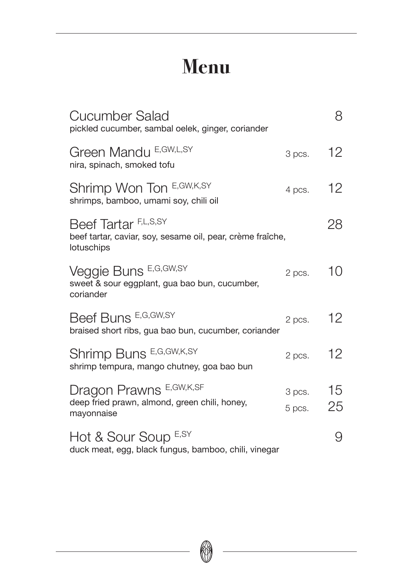## **Menu**

| Cucumber Salad<br>pickled cucumber, sambal oelek, ginger, coriander                              |                  | 8        |
|--------------------------------------------------------------------------------------------------|------------------|----------|
| Green Mandu E, GW, L, SY<br>nira, spinach, smoked tofu                                           | 3 pcs.           | 12       |
| Shrimp Won Ton E, GW, K, SY<br>shrimps, bamboo, umami soy, chili oil                             | 4 pcs.           | 12       |
| Beef Tartar F,L,S,SY<br>beef tartar, caviar, soy, sesame oil, pear, crème fraîche,<br>lotuschips |                  | 28       |
| Veggie Buns E,G,GW,SY<br>sweet & sour eggplant, gua bao bun, cucumber,<br>coriander              | 2 pcs.           | 10       |
| Beef Buns E,G,GW,SY<br>braised short ribs, gua bao bun, cucumber, coriander                      | 2 pcs.           | $12 \,$  |
| Shrimp Buns E,G,GW,K,SY<br>shrimp tempura, mango chutney, goa bao bun                            | 2 pcs.           | 12       |
| Dragon Prawns E, GW, K, SF<br>deep fried prawn, almond, green chili, honey,<br>mayonnaise        | 3 pcs.<br>5 pcs. | 15<br>25 |
| Hot & Sour Soup E,SY<br>duck meat, egg, black fungus, bamboo, chili, vinegar                     |                  | 9        |